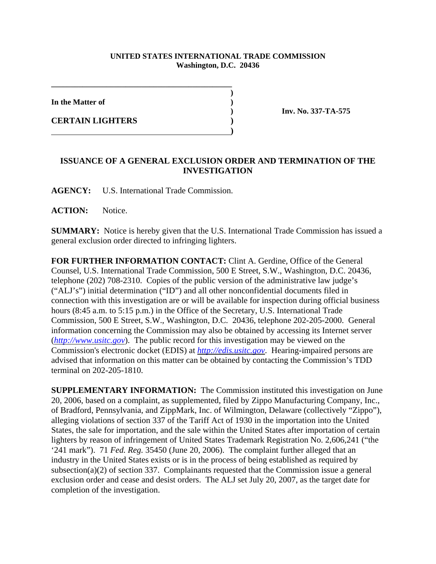## **UNITED STATES INTERNATIONAL TRADE COMMISSION Washington, D.C. 20436**

**)**

**In the Matter of )**

**CERTAIN LIGHTERS )**

**) Inv. No. 337-TA-575** 

## **ISSUANCE OF A GENERAL EXCLUSION ORDER AND TERMINATION OF THE INVESTIGATION**

**AGENCY:** U.S. International Trade Commission.

**\_\_\_\_\_\_\_\_\_\_\_\_\_\_\_\_\_\_\_\_\_\_\_\_\_\_\_\_\_\_\_\_\_\_\_\_\_\_\_\_\_\_\_\_\_\_** 

 **)**

**ACTION:** Notice.

**SUMMARY:** Notice is hereby given that the U.S. International Trade Commission has issued a general exclusion order directed to infringing lighters.

**FOR FURTHER INFORMATION CONTACT:** Clint A. Gerdine, Office of the General Counsel, U.S. International Trade Commission, 500 E Street, S.W., Washington, D.C. 20436, telephone (202) 708-2310. Copies of the public version of the administrative law judge's ("ALJ's") initial determination ("ID") and all other nonconfidential documents filed in connection with this investigation are or will be available for inspection during official business hours (8:45 a.m. to 5:15 p.m.) in the Office of the Secretary, U.S. International Trade Commission, 500 E Street, S.W., Washington, D.C. 20436, telephone 202-205-2000. General information concerning the Commission may also be obtained by accessing its Internet server (*http://www.usitc.gov*). The public record for this investigation may be viewed on the Commission's electronic docket (EDIS) at *http://edis.usitc.gov*. Hearing-impaired persons are advised that information on this matter can be obtained by contacting the Commission's TDD terminal on 202-205-1810.

**SUPPLEMENTARY INFORMATION:** The Commission instituted this investigation on June 20, 2006, based on a complaint, as supplemented, filed by Zippo Manufacturing Company, Inc., of Bradford, Pennsylvania, and ZippMark, Inc. of Wilmington, Delaware (collectively "Zippo"), alleging violations of section 337 of the Tariff Act of 1930 in the importation into the United States, the sale for importation, and the sale within the United States after importation of certain lighters by reason of infringement of United States Trademark Registration No. 2,606,241 ("the '241 mark"). 71 *Fed. Reg.* 35450 (June 20, 2006). The complaint further alleged that an industry in the United States exists or is in the process of being established as required by subsection(a)(2) of section 337. Complainants requested that the Commission issue a general exclusion order and cease and desist orders. The ALJ set July 20, 2007, as the target date for completion of the investigation.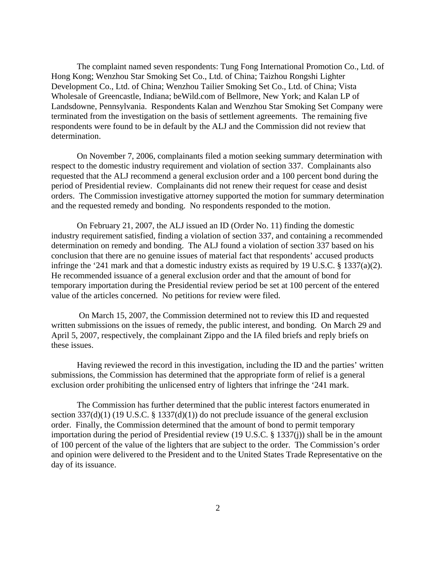The complaint named seven respondents: Tung Fong International Promotion Co., Ltd. of Hong Kong; Wenzhou Star Smoking Set Co., Ltd. of China; Taizhou Rongshi Lighter Development Co., Ltd. of China; Wenzhou Tailier Smoking Set Co., Ltd. of China; Vista Wholesale of Greencastle, Indiana; beWild.com of Bellmore, New York; and Kalan LP of Landsdowne, Pennsylvania. Respondents Kalan and Wenzhou Star Smoking Set Company were terminated from the investigation on the basis of settlement agreements. The remaining five respondents were found to be in default by the ALJ and the Commission did not review that determination.

On November 7, 2006, complainants filed a motion seeking summary determination with respect to the domestic industry requirement and violation of section 337. Complainants also requested that the ALJ recommend a general exclusion order and a 100 percent bond during the period of Presidential review. Complainants did not renew their request for cease and desist orders. The Commission investigative attorney supported the motion for summary determination and the requested remedy and bonding. No respondents responded to the motion.

On February 21, 2007, the ALJ issued an ID (Order No. 11) finding the domestic industry requirement satisfied, finding a violation of section 337, and containing a recommended determination on remedy and bonding. The ALJ found a violation of section 337 based on his conclusion that there are no genuine issues of material fact that respondents' accused products infringe the '241 mark and that a domestic industry exists as required by 19 U.S.C. § 1337(a)(2). He recommended issuance of a general exclusion order and that the amount of bond for temporary importation during the Presidential review period be set at 100 percent of the entered value of the articles concerned. No petitions for review were filed.

 On March 15, 2007, the Commission determined not to review this ID and requested written submissions on the issues of remedy, the public interest, and bonding. On March 29 and April 5, 2007, respectively, the complainant Zippo and the IA filed briefs and reply briefs on these issues.

Having reviewed the record in this investigation, including the ID and the parties' written submissions, the Commission has determined that the appropriate form of relief is a general exclusion order prohibiting the unlicensed entry of lighters that infringe the '241 mark.

The Commission has further determined that the public interest factors enumerated in section  $337(d)(1)$  (19 U.S.C. § 1337(d)(1)) do not preclude issuance of the general exclusion order. Finally, the Commission determined that the amount of bond to permit temporary importation during the period of Presidential review (19 U.S.C. § 1337(j)) shall be in the amount of 100 percent of the value of the lighters that are subject to the order. The Commission's order and opinion were delivered to the President and to the United States Trade Representative on the day of its issuance.